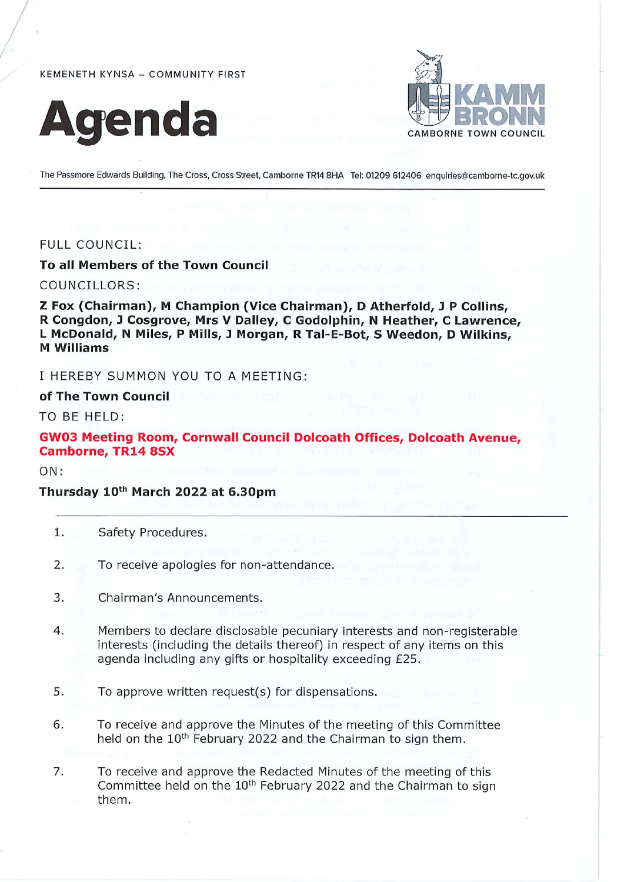KEMENETH KYNSA - COMMUNITY FIRST





The Passmore Edwards Building, The Cross, Cross Street, Camborne TR14 8HA Tel: 01209 612406 enquiries@camborne-tc.gov.uk

### **FULL COUNCIL:**

### To all Members of the Town Council

COUNCILLORS:

Z Fox (Chairman), M Champion (Vice Chairman), D Atherfold, J P Collins, R Congdon, J Cosgrove, Mrs V Dalley, C Godolphin, N Heather, C Lawrence, L McDonald, N Miles, P Mills, J Morgan, R Tal-E-Bot, S Weedon, D Wilkins, **M** Williams

I HEREBY SUMMON YOU TO A MEETING:

#### of The Town Council

TO BE HELD:

# **GW03 Meeting Room, Cornwall Council Dolcoath Offices, Dolcoath Avenue, Camborne, TR14 8SX**

 $ON:$ 

# Thursday 10th March 2022 at 6.30pm

- 1. Safety Procedures.
- To receive apologies for non-attendance.  $2.$
- Chairman's Announcements. 3.
- 4. Members to declare disclosable pecuniary interests and non-registerable interests (including the details thereof) in respect of any items on this agenda including any gifts or hospitality exceeding £25.
- 5. To approve written request(s) for dispensations.
- 6. To receive and approve the Minutes of the meeting of this Committee held on the 10<sup>th</sup> February 2022 and the Chairman to sign them.
- To receive and approve the Redacted Minutes of the meeting of this 7. Committee held on the 10<sup>th</sup> February 2022 and the Chairman to sign them.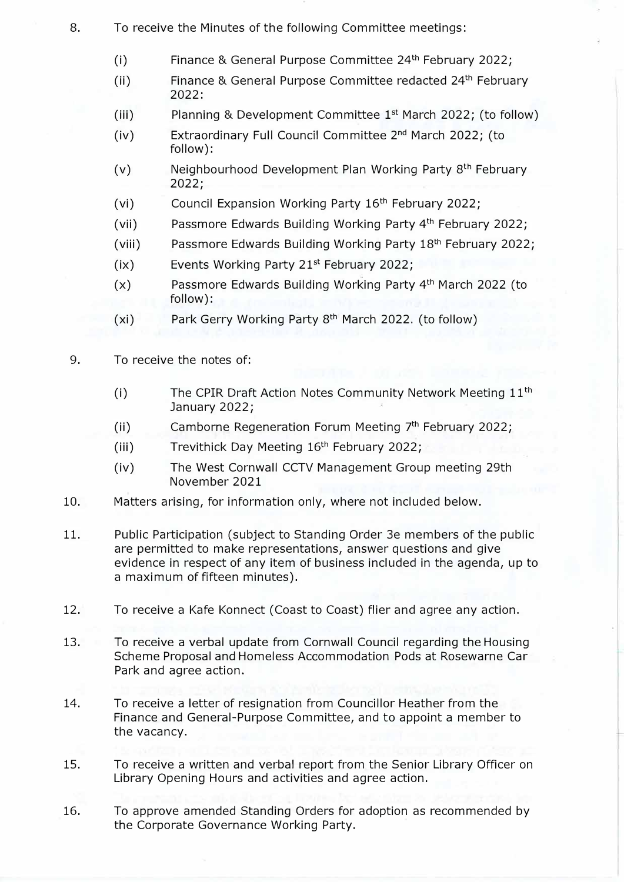- 8. To receive the Minutes of the following Committee meetings:
	- (i) Finance & General Purpose Committee 24th February 2022;
	- (ii) Finance & General Purpose Committee redacted  $24<sup>th</sup>$  February 2022:
	- (iii) Planning & Development Committee 1st March 2022; (to follow)
	- (iv) Fxtraordinary Full Council Committee 2<sup>nd</sup> March 2022; (to follow):
	- (v) Meighbourhood Development Plan Working Party 8<sup>th</sup> February 2022;
	- (vi) Council Expansion Working Party 16<sup>th</sup> February 2022;
	- (vii) Passmore Edwards Building Working Party 4<sup>th</sup> February 2022;
	- (viii) Passmore Edwards Building Working Party 18<sup>th</sup> February 2022;
	- (ix) Fvents Working Party 21st February 2022;
	- (x) Passmore Edwards Building Working Party 4<sup>th</sup> March 2022 (to follow):
	- (xi) Park Gerry Working Party 8th March 2022. (to follow)
- 9. To receive the notes of:
	- (i) The CPIR Draft Action Notes Community Network Meeting 11th January 2022;
	- (ii) Camborne Regeneration Forum Meeting 7<sup>th</sup> February 2022;
	- (iii) Trevithick Day Meeting 16<sup>th</sup> February 2022;
	- (iv) The West Cornwall CCTV Management Group meeting 29th November 2021
- 10. Matters arising, for information only, where not included below.
- 11. Public Participation (subject to Standing Order 3e members of the public are permitted to make representations, answer questions and give evidence in respect of any item of business included in the agenda, up to a maximum of fifteen minutes).
- 12. To receive a Kafe Konnect (Coast to Coast) flier and agree any action.
- 13. To receive a verbal update from Cornwall Council regarding the Housing Scheme Proposal and Homeless Accommodation Pods at Rosewarne Car Park and agree action.
- 14. To receive a letter of resignation from Councillor Heather from the Finance and General-Purpose Committee, and to appoint a member to the vacancy.
- 15. To receive a written and verbal report from the Senior Library Officer on Library Opening Hours and activities and agree action.
- 16. To approve amended Standing Orders for adoption as recommended by the Corporate Governance Working Party.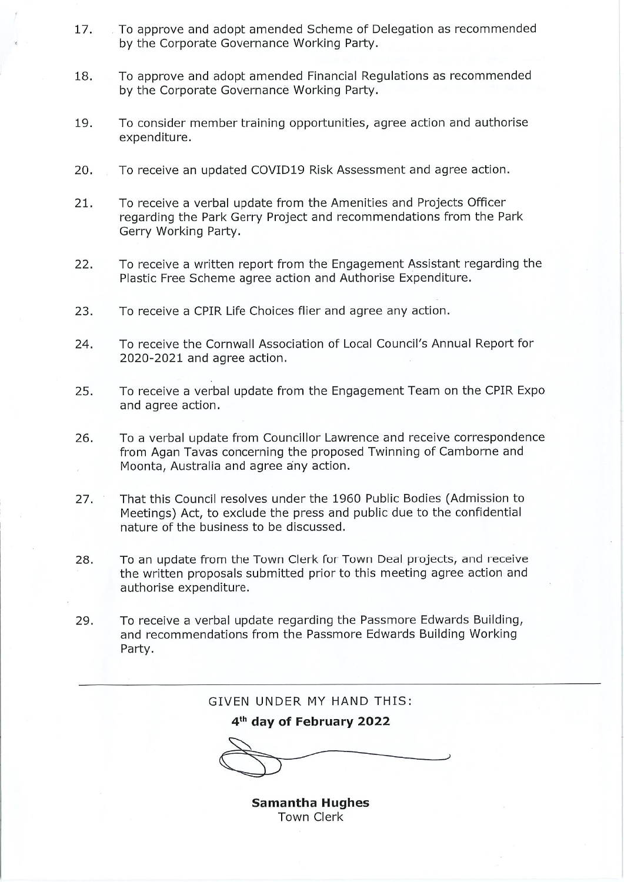- 17. To approve and adopt amended Scheme of Delegation as recommended by the Corporate Governance Working Party.
- To approve and adopt amended Financial Regulations as recommended 18. by the Corporate Governance Working Party.
- 19. To consider member training opportunities, agree action and authorise expenditure.
- 20. To receive an updated COVID19 Risk Assessment and agree action.
- 21. To receive a verbal update from the Amenities and Projects Officer regarding the Park Gerry Project and recommendations from the Park Gerry Working Party.
- 22. To receive a written report from the Engagement Assistant regarding the Plastic Free Scheme agree action and Authorise Expenditure.
- 23. To receive a CPIR Life Choices flier and agree any action.
- To receive the Cornwall Association of Local Council's Annual Report for 24. 2020-2021 and agree action.
- 25. To receive a verbal update from the Engagement Team on the CPIR Expo and agree action.
- To a verbal update from Councillor Lawrence and receive correspondence 26. from Agan Tavas concerning the proposed Twinning of Camborne and Moonta, Australia and agree any action.
- That this Council resolves under the 1960 Public Bodies (Admission to 27. Meetings) Act, to exclude the press and public due to the confidential nature of the business to be discussed.
- To an update from the Town Clerk for Town Deal projects, and receive 28. the written proposals submitted prior to this meeting agree action and authorise expenditure.
- To receive a verbal update regarding the Passmore Edwards Building, 29. and recommendations from the Passmore Edwards Building Working Party.

GIVEN UNDER MY HAND THIS: 4<sup>th</sup> day of February 2022

> **Samantha Hughes Town Clerk**